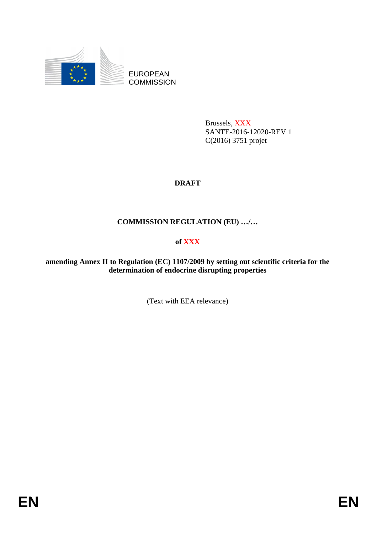

EUROPEAN **COMMISSION** 

> Brussels, XXX SANTE-2016-12020-REV 1 C(2016) 3751 projet

# **DRAFT**

# **COMMISSION REGULATION (EU) …/…**

# **of XXX**

**amending Annex II to Regulation (EC) 1107/2009 by setting out scientific criteria for the determination of endocrine disrupting properties** 

(Text with EEA relevance)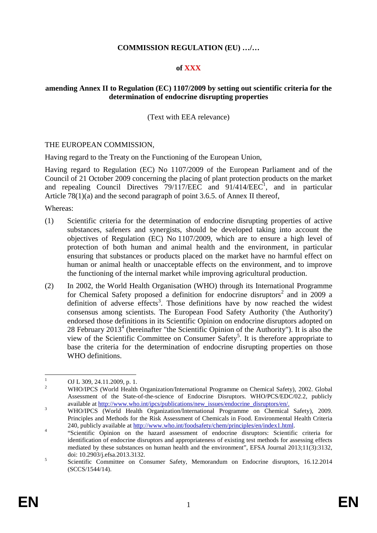### **COMMISSION REGULATION (EU) …/…**

#### **of XXX**

#### **amending Annex II to Regulation (EC) 1107/2009 by setting out scientific criteria for the determination of endocrine disrupting properties**

(Text with EEA relevance)

#### THE EUROPEAN COMMISSION,

Having regard to the Treaty on the Functioning of the European Union,

Having regard to Regulation (EC) No 1107/2009 of the European Parliament and of the Council of 21 October 2009 concerning the placing of plant protection products on the market and repealing Council Directives  $79/117/EEC$  and  $91/414/EEC<sup>1</sup>$ , and in particular Article 78(1)(a) and the second paragraph of point 3.6.5. of Annex II thereof,

Whereas:

- (1) Scientific criteria for the determination of endocrine disrupting properties of active substances, safeners and synergists, should be developed taking into account the objectives of Regulation (EC) No 1107/2009, which are to ensure a high level of protection of both human and animal health and the environment, in particular ensuring that substances or products placed on the market have no harmful effect on human or animal health or unacceptable effects on the environment, and to improve the functioning of the internal market while improving agricultural production.
- (2) In 2002, the World Health Organisation (WHO) through its International Programme for Chemical Safety proposed a definition for endocrine disruptors<sup>2</sup> and in 2009 a definition of adverse effects<sup>3</sup>. Those definitions have by now reached the widest consensus among scientists. The European Food Safety Authority ('the Authority') endorsed those definitions in its Scientific Opinion on endocrine disruptors adopted on 28 February  $2013<sup>4</sup>$  (hereinafter "the Scientific Opinion of the Authority"). It is also the view of the Scientific Committee on Consumer Safety<sup>5</sup>. It is therefore appropriate to base the criteria for the determination of endocrine disrupting properties on those WHO definitions.

 $\frac{1}{1}$ OJ L 309, 24.11.2009, p. 1.

 $\overline{2}$  WHO/IPCS (World Health Organization/International Programme on Chemical Safety), 2002. Global Assessment of the State-of-the-science of Endocrine Disruptors. WHO/PCS/EDC/02.2, publicly available at http://www.who.int/ipcs/publications/new\_issues/endocrine\_disruptors/en/.

WHO/IPCS (World Health Organization/International Programme on Chemical Safety), 2009. Principles and Methods for the Risk Assessment of Chemicals in Food. Environmental Health Criteria 240, publicly available at http://www.who.int/foodsafety/chem/principles/en/index1.html.

 <sup>&</sup>quot;Scientific Opinion on the hazard assessment of endocrine disruptors: Scientific criteria for identification of endocrine disruptors and appropriateness of existing test methods for assessing effects mediated by these substances on human health and the environment", EFSA Journal 2013;11(3):3132, doi: 10.2903/j.efsa.2013.3132. 5

Scientific Committee on Consumer Safety, Memorandum on Endocrine disruptors, 16.12.2014 (SCCS/1544/14).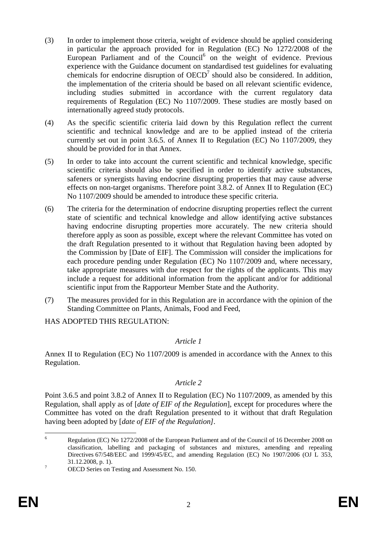- (3) In order to implement those criteria, weight of evidence should be applied considering in particular the approach provided for in Regulation (EC) No 1272/2008 of the European Parliament and of the Council<sup>6</sup> on the weight of evidence. Previous experience with the Guidance document on standardised test guidelines for evaluating chemicals for endocrine disruption of  $OECD<sup>7</sup>$  should also be considered. In addition, the implementation of the criteria should be based on all relevant scientific evidence, including studies submitted in accordance with the current regulatory data requirements of Regulation (EC) No 1107/2009. These studies are mostly based on internationally agreed study protocols.
- (4) As the specific scientific criteria laid down by this Regulation reflect the current scientific and technical knowledge and are to be applied instead of the criteria currently set out in point 3.6.5. of Annex II to Regulation (EC) No 1107/2009, they should be provided for in that Annex.
- (5) In order to take into account the current scientific and technical knowledge, specific scientific criteria should also be specified in order to identify active substances, safeners or synergists having endocrine disrupting properties that may cause adverse effects on non-target organisms. Therefore point 3.8.2. of Annex II to Regulation (EC) No 1107/2009 should be amended to introduce these specific criteria.
- (6) The criteria for the determination of endocrine disrupting properties reflect the current state of scientific and technical knowledge and allow identifying active substances having endocrine disrupting properties more accurately. The new criteria should therefore apply as soon as possible, except where the relevant Committee has voted on the draft Regulation presented to it without that Regulation having been adopted by the Commission by [Date of EIF]. The Commission will consider the implications for each procedure pending under Regulation (EC) No 1107/2009 and, where necessary, take appropriate measures with due respect for the rights of the applicants. This may include a request for additional information from the applicant and/or for additional scientific input from the Rapporteur Member State and the Authority.
- (7) The measures provided for in this Regulation are in accordance with the opinion of the Standing Committee on Plants, Animals, Food and Feed,

HAS ADOPTED THIS REGULATION:

## *Article 1*

Annex II to Regulation (EC) No 1107/2009 is amended in accordance with the Annex to this Regulation.

#### *Article 2*

Point 3.6.5 and point 3.8.2 of Annex II to Regulation (EC) No 1107/2009, as amended by this Regulation, shall apply as of [*date of EIF of the Regulation*], except for procedures where the Committee has voted on the draft Regulation presented to it without that draft Regulation having been adopted by [*date of EIF of the Regulation].* 

 6 Regulation (EC) No 1272/2008 of the European Parliament and of the Council of 16 December 2008 on classification, labelling and packaging of substances and mixtures, amending and repealing Directives 67/548/EEC and 1999/45/EC, and amending Regulation (EC) No 1907/2006 (OJ L 353,  $31.12.2008$ , p. 1).

OECD Series on Testing and Assessment No. 150.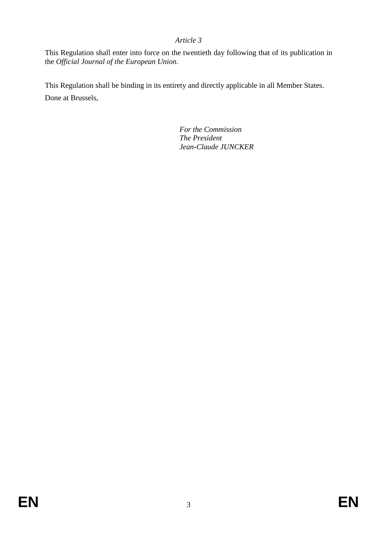## *Article 3*

This Regulation shall enter into force on the twentieth day following that of its publication in the *Official Journal of the European Union*.

This Regulation shall be binding in its entirety and directly applicable in all Member States. Done at Brussels,

> *For the Commission The President Jean-Claude JUNCKER*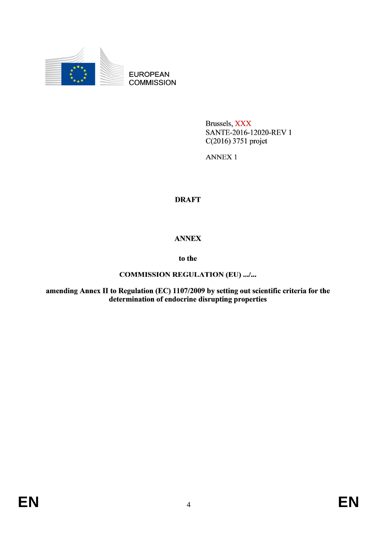

**EUROPEAN COMMISSION** 

> Brussels, XXX SANTE-2016-12020-REV 1 C(2016) 3751 projet

**ANNEX1** 

# **DRAFT**

# **ANNEX**

## to the

## **COMMISSION REGULATION (EU) .../...**

amending Annex II to Regulation (EC) 1107/2009 by setting out scientific criteria for the<br>determination of endocrine disrupting properties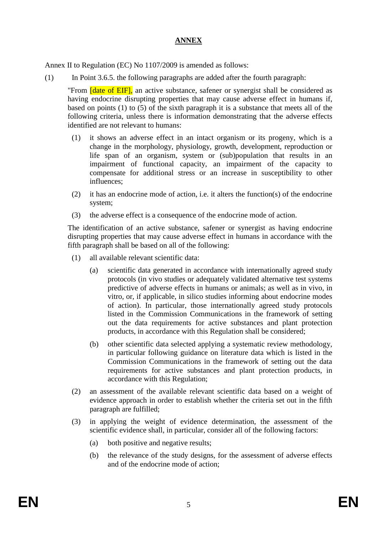# **ANNEX**

Annex II to Regulation (EC) No 1107/2009 is amended as follows:

(1) In Point 3.6.5. the following paragraphs are added after the fourth paragraph:

"From *date of EIF]*, an active substance, safener or synergist shall be considered as having endocrine disrupting properties that may cause adverse effect in humans if, based on points (1) to (5) of the sixth paragraph it is a substance that meets all of the following criteria, unless there is information demonstrating that the adverse effects identified are not relevant to humans:

- (1) it shows an adverse effect in an intact organism or its progeny, which is a change in the morphology, physiology, growth, development, reproduction or life span of an organism, system or (sub)population that results in an impairment of functional capacity, an impairment of the capacity to compensate for additional stress or an increase in susceptibility to other influences;
- (2) it has an endocrine mode of action, i.e. it alters the function(s) of the endocrine system;
- (3) the adverse effect is a consequence of the endocrine mode of action.

The identification of an active substance, safener or synergist as having endocrine disrupting properties that may cause adverse effect in humans in accordance with the fifth paragraph shall be based on all of the following:

- (1) all available relevant scientific data:
	- (a) scientific data generated in accordance with internationally agreed study protocols (in vivo studies or adequately validated alternative test systems predictive of adverse effects in humans or animals; as well as in vivo, in vitro, or, if applicable, in silico studies informing about endocrine modes of action). In particular, those internationally agreed study protocols listed in the Commission Communications in the framework of setting out the data requirements for active substances and plant protection products, in accordance with this Regulation shall be considered;
	- (b) other scientific data selected applying a systematic review methodology, in particular following guidance on literature data which is listed in the Commission Communications in the framework of setting out the data requirements for active substances and plant protection products, in accordance with this Regulation;
- (2) an assessment of the available relevant scientific data based on a weight of evidence approach in order to establish whether the criteria set out in the fifth paragraph are fulfilled;
- (3) in applying the weight of evidence determination, the assessment of the scientific evidence shall, in particular, consider all of the following factors:
	- (a) both positive and negative results;
	- (b) the relevance of the study designs, for the assessment of adverse effects and of the endocrine mode of action;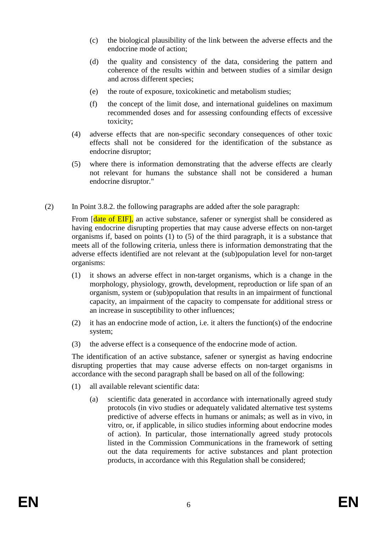- (c) the biological plausibility of the link between the adverse effects and the endocrine mode of action;
- (d) the quality and consistency of the data, considering the pattern and coherence of the results within and between studies of a similar design and across different species;
- (e) the route of exposure, toxicokinetic and metabolism studies;
- (f) the concept of the limit dose, and international guidelines on maximum recommended doses and for assessing confounding effects of excessive toxicity;
- (4) adverse effects that are non-specific secondary consequences of other toxic effects shall not be considered for the identification of the substance as endocrine disruptor;
- (5) where there is information demonstrating that the adverse effects are clearly not relevant for humans the substance shall not be considered a human endocrine disruptor."
- (2) In Point 3.8.2. the following paragraphs are added after the sole paragraph:

From [date of EIF], an active substance, safener or synergist shall be considered as having endocrine disrupting properties that may cause adverse effects on non-target organisms if, based on points (1) to (5) of the third paragraph, it is a substance that meets all of the following criteria, unless there is information demonstrating that the adverse effects identified are not relevant at the (sub)population level for non-target organisms:

- (1) it shows an adverse effect in non-target organisms, which is a change in the morphology, physiology, growth, development, reproduction or life span of an organism, system or (sub)population that results in an impairment of functional capacity, an impairment of the capacity to compensate for additional stress or an increase in susceptibility to other influences;
- (2) it has an endocrine mode of action, i.e. it alters the function(s) of the endocrine system;
- (3) the adverse effect is a consequence of the endocrine mode of action.

The identification of an active substance, safener or synergist as having endocrine disrupting properties that may cause adverse effects on non-target organisms in accordance with the second paragraph shall be based on all of the following:

- (1) all available relevant scientific data:
	- (a) scientific data generated in accordance with internationally agreed study protocols (in vivo studies or adequately validated alternative test systems predictive of adverse effects in humans or animals; as well as in vivo, in vitro, or, if applicable, in silico studies informing about endocrine modes of action). In particular, those internationally agreed study protocols listed in the Commission Communications in the framework of setting out the data requirements for active substances and plant protection products, in accordance with this Regulation shall be considered;